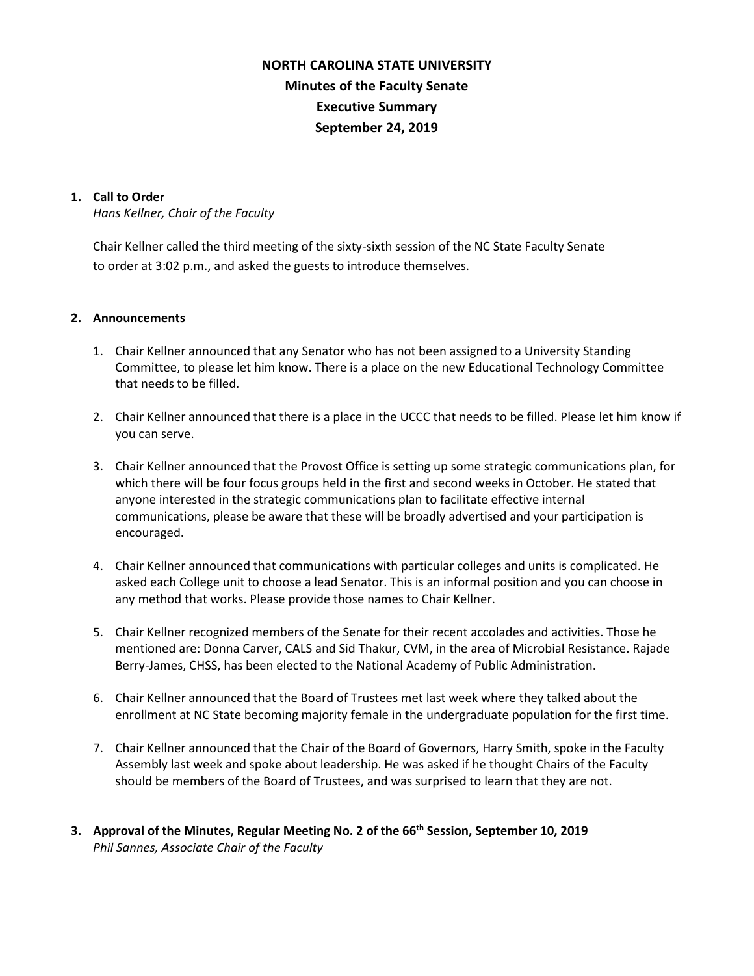# **NORTH CAROLINA STATE UNIVERSITY Minutes of the Faculty Senate Executive Summary September 24, 2019**

### **1. Call to Order**

*Hans Kellner, Chair of the Faculty*

Chair Kellner called the third meeting of the sixty-sixth session of the NC State Faculty Senate to order at 3:02 p.m., and asked the guests to introduce themselves.

#### **2. Announcements**

- 1. Chair Kellner announced that any Senator who has not been assigned to a University Standing Committee, to please let him know. There is a place on the new Educational Technology Committee that needs to be filled.
- 2. Chair Kellner announced that there is a place in the UCCC that needs to be filled. Please let him know if you can serve.
- 3. Chair Kellner announced that the Provost Office is setting up some strategic communications plan, for which there will be four focus groups held in the first and second weeks in October. He stated that anyone interested in the strategic communications plan to facilitate effective internal communications, please be aware that these will be broadly advertised and your participation is encouraged.
- 4. Chair Kellner announced that communications with particular colleges and units is complicated. He asked each College unit to choose a lead Senator. This is an informal position and you can choose in any method that works. Please provide those names to Chair Kellner.
- 5. Chair Kellner recognized members of the Senate for their recent accolades and activities. Those he mentioned are: Donna Carver, CALS and Sid Thakur, CVM, in the area of Microbial Resistance. Rajade Berry-James, CHSS, has been elected to the National Academy of Public Administration.
- 6. Chair Kellner announced that the Board of Trustees met last week where they talked about the enrollment at NC State becoming majority female in the undergraduate population for the first time.
- 7. Chair Kellner announced that the Chair of the Board of Governors, Harry Smith, spoke in the Faculty Assembly last week and spoke about leadership. He was asked if he thought Chairs of the Faculty should be members of the Board of Trustees, and was surprised to learn that they are not.
- **3. Approval of the Minutes, Regular Meeting No. 2 of the 66th Session, September 10, 2019** *Phil Sannes, Associate Chair of the Faculty*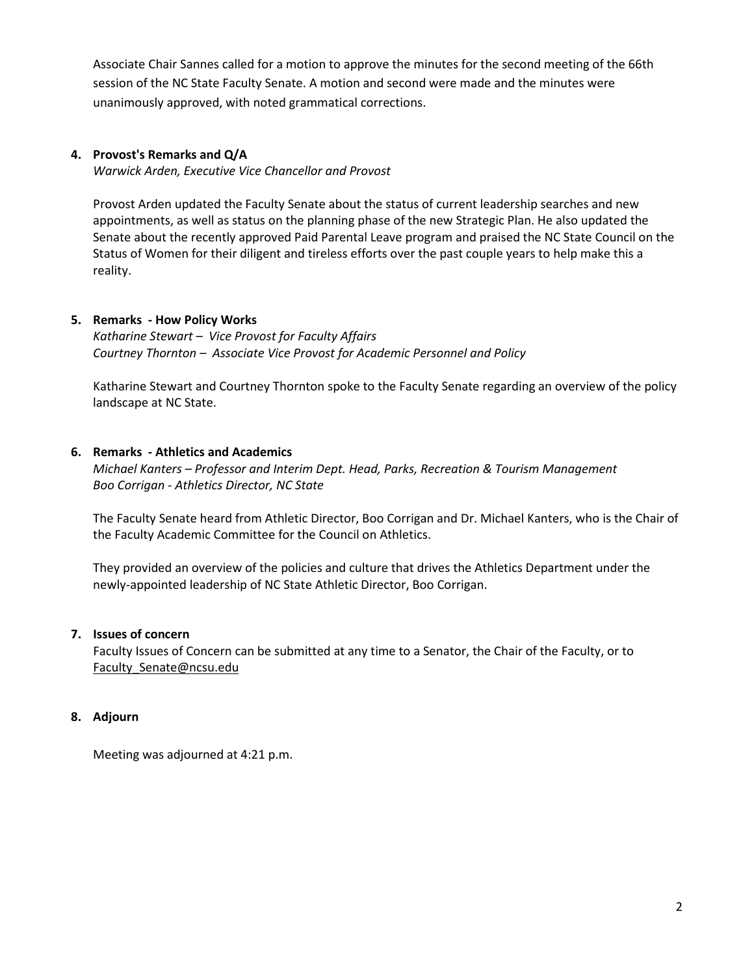Associate Chair Sannes called for a motion to approve the minutes for the second meeting of the 66th session of the NC State Faculty Senate. A motion and second were made and the minutes were unanimously approved, with noted grammatical corrections.

## **4. Provost's Remarks and Q/A**

*Warwick Arden, Executive Vice Chancellor and Provost*

Provost Arden updated the Faculty Senate about the status of current leadership searches and new appointments, as well as status on the planning phase of the new Strategic Plan. He also updated the Senate about the recently approved Paid Parental Leave program and praised the NC State Council on the Status of Women for their diligent and tireless efforts over the past couple years to help make this a reality.

## **5. Remarks - How Policy Works**

*Katharine Stewart – Vice Provost for Faculty Affairs Courtney Thornton – Associate Vice Provost for Academic Personnel and Policy*

Katharine Stewart and Courtney Thornton spoke to the Faculty Senate regarding an overview of the policy landscape at NC State.

## **6. Remarks - Athletics and Academics**

*Michael Kanters – Professor and Interim Dept. Head, Parks, Recreation & Tourism Management Boo Corrigan - Athletics Director, NC State*

The Faculty Senate heard from Athletic Director, Boo Corrigan and Dr. Michael Kanters, who is the Chair of the Faculty Academic Committee for the Council on Athletics.

They provided an overview of the policies and culture that drives the Athletics Department under the newly-appointed leadership of NC State Athletic Director, Boo Corrigan.

# **7. Issues of concern**

Faculty Issues of Concern can be submitted at any time to a Senator, the Chair of the Faculty, or to [Faculty\\_Senate@ncsu.edu](mailto:Faculty_Senate@ncsu.edu)

# **8. Adjourn**

Meeting was adjourned at 4:21 p.m.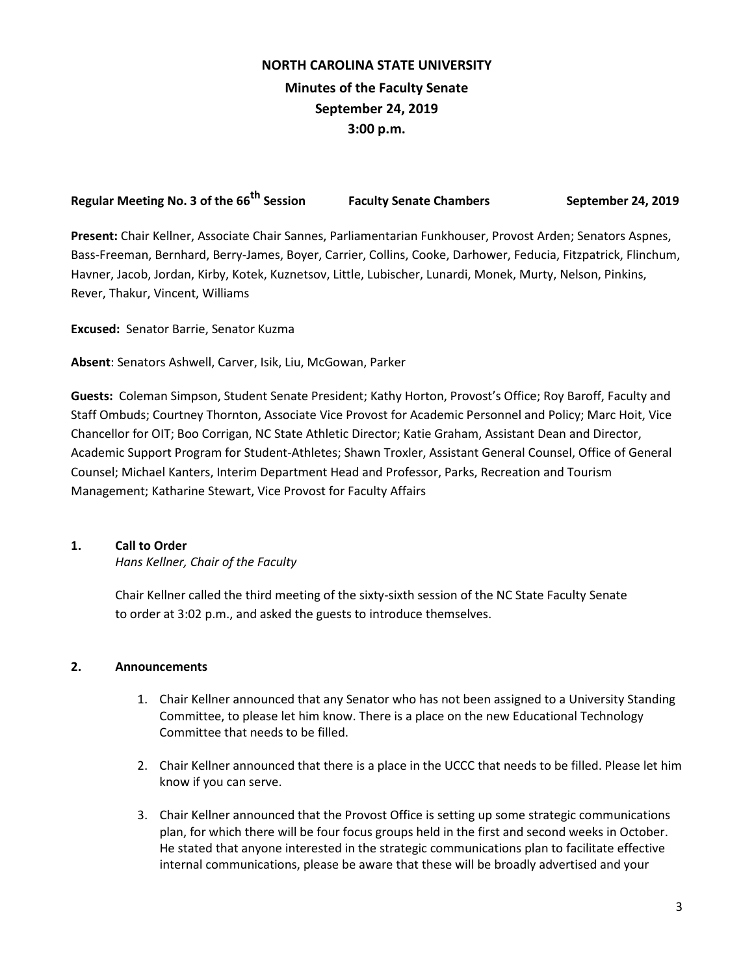# **NORTH CAROLINA STATE UNIVERSITY Minutes of the Faculty Senate September 24, 2019 3:00 p.m.**

| Regular Meeting No. 3 of the 66 <sup>th</sup> Session | <b>Faculty Senate Chambers</b> | September 24, 2019 |
|-------------------------------------------------------|--------------------------------|--------------------|

**Present:** Chair Kellner, Associate Chair Sannes, Parliamentarian Funkhouser, Provost Arden; Senators Aspnes, Bass-Freeman, Bernhard, Berry-James, Boyer, Carrier, Collins, Cooke, Darhower, Feducia, Fitzpatrick, Flinchum, Havner, Jacob, Jordan, Kirby, Kotek, Kuznetsov, Little, Lubischer, Lunardi, Monek, Murty, Nelson, Pinkins, Rever, Thakur, Vincent, Williams

**Excused:** Senator Barrie, Senator Kuzma

**Absent**: Senators Ashwell, Carver, Isik, Liu, McGowan, Parker

**Guests:** Coleman Simpson, Student Senate President; Kathy Horton, Provost's Office; Roy Baroff, Faculty and Staff Ombuds; Courtney Thornton, Associate Vice Provost for Academic Personnel and Policy; Marc Hoit, Vice Chancellor for OIT; Boo Corrigan, NC State Athletic Director; Katie Graham, Assistant Dean and Director, Academic Support Program for Student-Athletes; Shawn Troxler, Assistant General Counsel, Office of General Counsel; Michael Kanters, Interim Department Head and Professor, Parks, Recreation and Tourism Management; Katharine Stewart, Vice Provost for Faculty Affairs

# **1. Call to Order**

*Hans Kellner, Chair of the Faculty*

Chair Kellner called the third meeting of the sixty-sixth session of the NC State Faculty Senate to order at 3:02 p.m., and asked the guests to introduce themselves.

# **2. Announcements**

- 1. Chair Kellner announced that any Senator who has not been assigned to a University Standing Committee, to please let him know. There is a place on the new Educational Technology Committee that needs to be filled.
- 2. Chair Kellner announced that there is a place in the UCCC that needs to be filled. Please let him know if you can serve.
- 3. Chair Kellner announced that the Provost Office is setting up some strategic communications plan, for which there will be four focus groups held in the first and second weeks in October. He stated that anyone interested in the strategic communications plan to facilitate effective internal communications, please be aware that these will be broadly advertised and your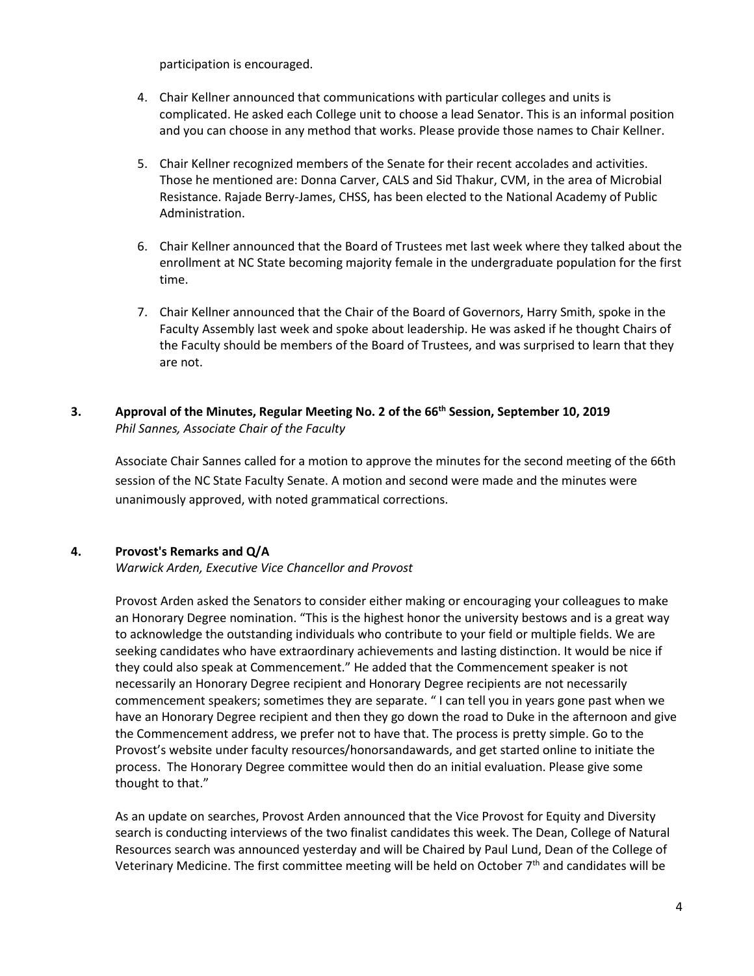participation is encouraged.

- 4. Chair Kellner announced that communications with particular colleges and units is complicated. He asked each College unit to choose a lead Senator. This is an informal position and you can choose in any method that works. Please provide those names to Chair Kellner.
- 5. Chair Kellner recognized members of the Senate for their recent accolades and activities. Those he mentioned are: Donna Carver, CALS and Sid Thakur, CVM, in the area of Microbial Resistance. Rajade Berry-James, CHSS, has been elected to the National Academy of Public Administration.
- 6. Chair Kellner announced that the Board of Trustees met last week where they talked about the enrollment at NC State becoming majority female in the undergraduate population for the first time.
- 7. Chair Kellner announced that the Chair of the Board of Governors, Harry Smith, spoke in the Faculty Assembly last week and spoke about leadership. He was asked if he thought Chairs of the Faculty should be members of the Board of Trustees, and was surprised to learn that they are not.

# **3. Approval of the Minutes, Regular Meeting No. 2 of the 66th Session, September 10, 2019** *Phil Sannes, Associate Chair of the Faculty*

Associate Chair Sannes called for a motion to approve the minutes for the second meeting of the 66th session of the NC State Faculty Senate. A motion and second were made and the minutes were unanimously approved, with noted grammatical corrections.

# **4. Provost's Remarks and Q/A**

*Warwick Arden, Executive Vice Chancellor and Provost*

Provost Arden asked the Senators to consider either making or encouraging your colleagues to make an Honorary Degree nomination. "This is the highest honor the university bestows and is a great way to acknowledge the outstanding individuals who contribute to your field or multiple fields. We are seeking candidates who have extraordinary achievements and lasting distinction. It would be nice if they could also speak at Commencement." He added that the Commencement speaker is not necessarily an Honorary Degree recipient and Honorary Degree recipients are not necessarily commencement speakers; sometimes they are separate. " I can tell you in years gone past when we have an Honorary Degree recipient and then they go down the road to Duke in the afternoon and give the Commencement address, we prefer not to have that. The process is pretty simple. Go to the Provost's website under faculty resources/honorsandawards, and get started online to initiate the process. The Honorary Degree committee would then do an initial evaluation. Please give some thought to that."

As an update on searches, Provost Arden announced that the Vice Provost for Equity and Diversity search is conducting interviews of the two finalist candidates this week. The Dean, College of Natural Resources search was announced yesterday and will be Chaired by Paul Lund, Dean of the College of Veterinary Medicine. The first committee meeting will be held on October 7<sup>th</sup> and candidates will be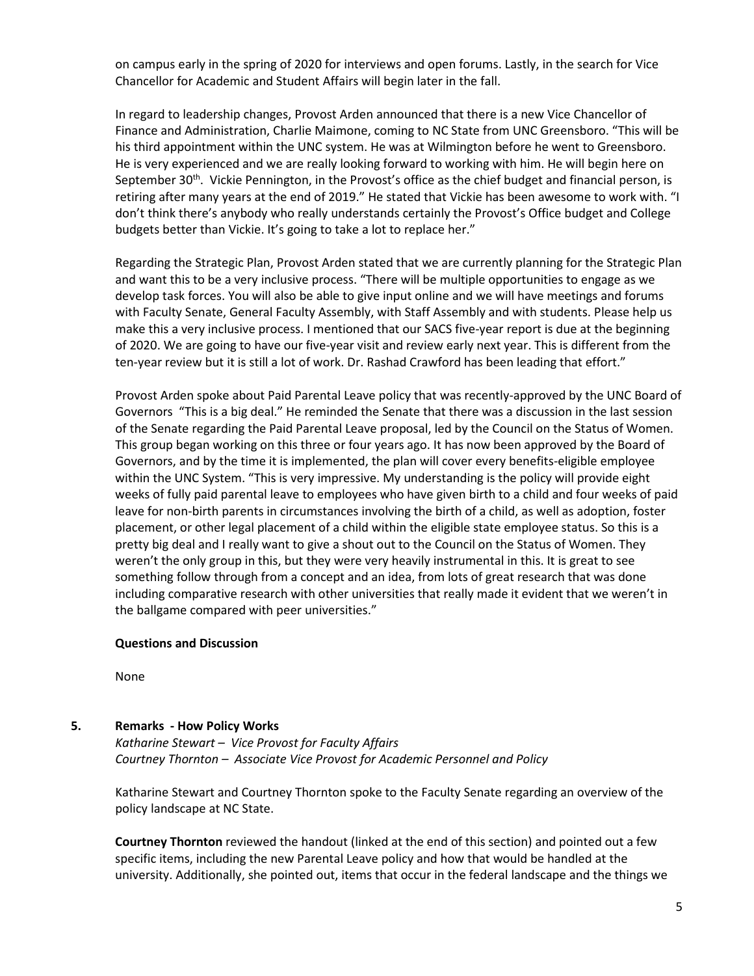on campus early in the spring of 2020 for interviews and open forums. Lastly, in the search for Vice Chancellor for Academic and Student Affairs will begin later in the fall.

In regard to leadership changes, Provost Arden announced that there is a new Vice Chancellor of Finance and Administration, Charlie Maimone, coming to NC State from UNC Greensboro. "This will be his third appointment within the UNC system. He was at Wilmington before he went to Greensboro. He is very experienced and we are really looking forward to working with him. He will begin here on September 30<sup>th</sup>. Vickie Pennington, in the Provost's office as the chief budget and financial person, is retiring after many years at the end of 2019." He stated that Vickie has been awesome to work with. "I don't think there's anybody who really understands certainly the Provost's Office budget and College budgets better than Vickie. It's going to take a lot to replace her."

Regarding the Strategic Plan, Provost Arden stated that we are currently planning for the Strategic Plan and want this to be a very inclusive process. "There will be multiple opportunities to engage as we develop task forces. You will also be able to give input online and we will have meetings and forums with Faculty Senate, General Faculty Assembly, with Staff Assembly and with students. Please help us make this a very inclusive process. I mentioned that our SACS five-year report is due at the beginning of 2020. We are going to have our five-year visit and review early next year. This is different from the ten-year review but it is still a lot of work. Dr. Rashad Crawford has been leading that effort."

Provost Arden spoke about Paid Parental Leave policy that was recently-approved by the UNC Board of Governors "This is a big deal." He reminded the Senate that there was a discussion in the last session of the Senate regarding the Paid Parental Leave proposal, led by the Council on the Status of Women. This group began working on this three or four years ago. It has now been approved by the Board of Governors, and by the time it is implemented, the plan will cover every benefits-eligible employee within the UNC System. "This is very impressive. My understanding is the policy will provide eight weeks of fully paid parental leave to employees who have given birth to a child and four weeks of paid leave for non-birth parents in circumstances involving the birth of a child, as well as adoption, foster placement, or other legal placement of a child within the eligible state employee status. So this is a pretty big deal and I really want to give a shout out to the Council on the Status of Women. They weren't the only group in this, but they were very heavily instrumental in this. It is great to see something follow through from a concept and an idea, from lots of great research that was done including comparative research with other universities that really made it evident that we weren't in the ballgame compared with peer universities."

#### **Questions and Discussion**

None

### **5. Remarks - How Policy Works**

*Katharine Stewart – Vice Provost for Faculty Affairs Courtney Thornton – Associate Vice Provost for Academic Personnel and Policy*

Katharine Stewart and Courtney Thornton spoke to the Faculty Senate regarding an overview of the policy landscape at NC State.

**Courtney Thornton** reviewed the handout (linked at the end of this section) and pointed out a few specific items, including the new Parental Leave policy and how that would be handled at the university. Additionally, she pointed out, items that occur in the federal landscape and the things we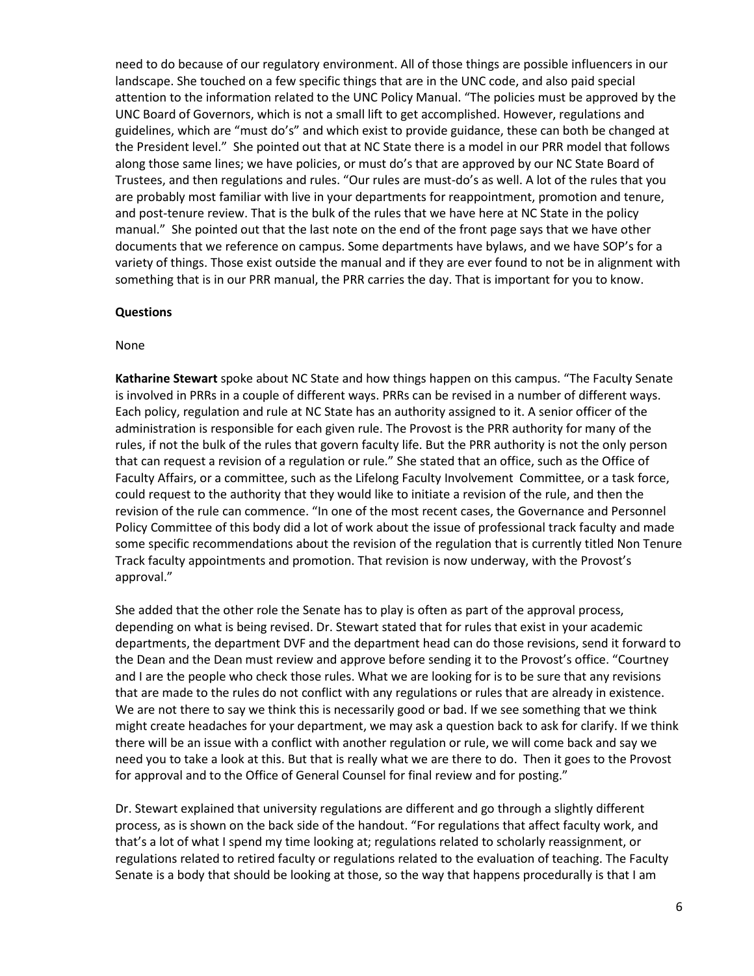need to do because of our regulatory environment. All of those things are possible influencers in our landscape. She touched on a few specific things that are in the UNC code, and also paid special attention to the information related to the UNC Policy Manual. "The policies must be approved by the UNC Board of Governors, which is not a small lift to get accomplished. However, regulations and guidelines, which are "must do's" and which exist to provide guidance, these can both be changed at the President level." She pointed out that at NC State there is a model in our PRR model that follows along those same lines; we have policies, or must do's that are approved by our NC State Board of Trustees, and then regulations and rules. "Our rules are must-do's as well. A lot of the rules that you are probably most familiar with live in your departments for reappointment, promotion and tenure, and post-tenure review. That is the bulk of the rules that we have here at NC State in the policy manual." She pointed out that the last note on the end of the front page says that we have other documents that we reference on campus. Some departments have bylaws, and we have SOP's for a variety of things. Those exist outside the manual and if they are ever found to not be in alignment with something that is in our PRR manual, the PRR carries the day. That is important for you to know.

#### **Questions**

#### None

**Katharine Stewart** spoke about NC State and how things happen on this campus. "The Faculty Senate is involved in PRRs in a couple of different ways. PRRs can be revised in a number of different ways. Each policy, regulation and rule at NC State has an authority assigned to it. A senior officer of the administration is responsible for each given rule. The Provost is the PRR authority for many of the rules, if not the bulk of the rules that govern faculty life. But the PRR authority is not the only person that can request a revision of a regulation or rule." She stated that an office, such as the Office of Faculty Affairs, or a committee, such as the Lifelong Faculty Involvement Committee, or a task force, could request to the authority that they would like to initiate a revision of the rule, and then the revision of the rule can commence. "In one of the most recent cases, the Governance and Personnel Policy Committee of this body did a lot of work about the issue of professional track faculty and made some specific recommendations about the revision of the regulation that is currently titled Non Tenure Track faculty appointments and promotion. That revision is now underway, with the Provost's approval."

She added that the other role the Senate has to play is often as part of the approval process, depending on what is being revised. Dr. Stewart stated that for rules that exist in your academic departments, the department DVF and the department head can do those revisions, send it forward to the Dean and the Dean must review and approve before sending it to the Provost's office. "Courtney and I are the people who check those rules. What we are looking for is to be sure that any revisions that are made to the rules do not conflict with any regulations or rules that are already in existence. We are not there to say we think this is necessarily good or bad. If we see something that we think might create headaches for your department, we may ask a question back to ask for clarify. If we think there will be an issue with a conflict with another regulation or rule, we will come back and say we need you to take a look at this. But that is really what we are there to do. Then it goes to the Provost for approval and to the Office of General Counsel for final review and for posting."

Dr. Stewart explained that university regulations are different and go through a slightly different process, as is shown on the back side of the handout. "For regulations that affect faculty work, and that's a lot of what I spend my time looking at; regulations related to scholarly reassignment, or regulations related to retired faculty or regulations related to the evaluation of teaching. The Faculty Senate is a body that should be looking at those, so the way that happens procedurally is that I am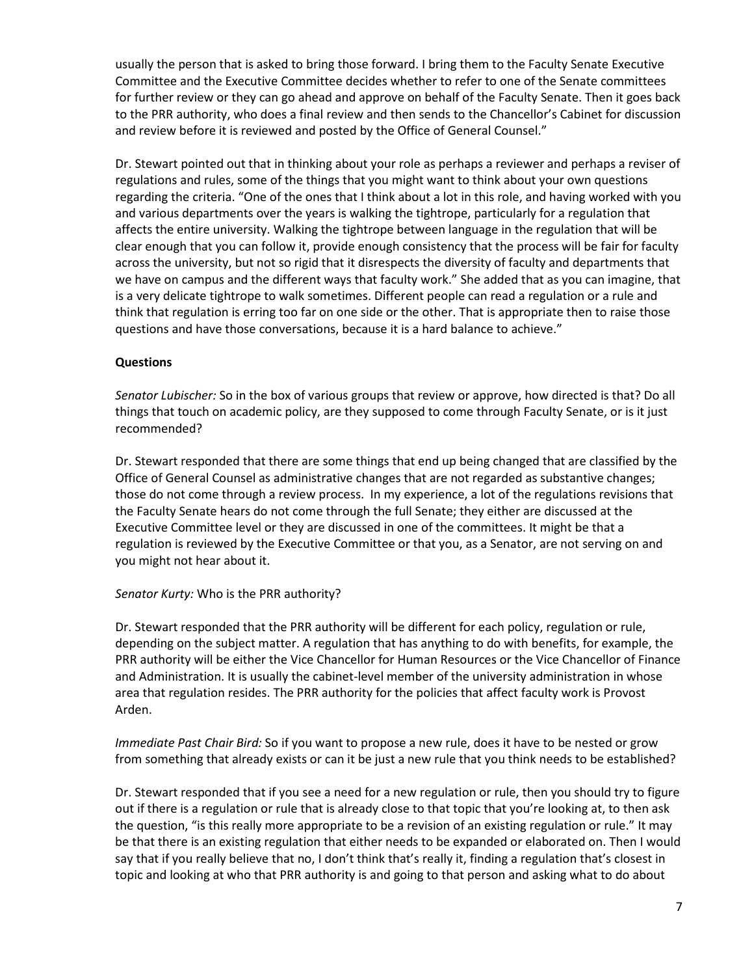usually the person that is asked to bring those forward. I bring them to the Faculty Senate Executive Committee and the Executive Committee decides whether to refer to one of the Senate committees for further review or they can go ahead and approve on behalf of the Faculty Senate. Then it goes back to the PRR authority, who does a final review and then sends to the Chancellor's Cabinet for discussion and review before it is reviewed and posted by the Office of General Counsel."

Dr. Stewart pointed out that in thinking about your role as perhaps a reviewer and perhaps a reviser of regulations and rules, some of the things that you might want to think about your own questions regarding the criteria. "One of the ones that I think about a lot in this role, and having worked with you and various departments over the years is walking the tightrope, particularly for a regulation that affects the entire university. Walking the tightrope between language in the regulation that will be clear enough that you can follow it, provide enough consistency that the process will be fair for faculty across the university, but not so rigid that it disrespects the diversity of faculty and departments that we have on campus and the different ways that faculty work." She added that as you can imagine, that is a very delicate tightrope to walk sometimes. Different people can read a regulation or a rule and think that regulation is erring too far on one side or the other. That is appropriate then to raise those questions and have those conversations, because it is a hard balance to achieve."

## **Questions**

*Senator Lubischer:* So in the box of various groups that review or approve, how directed is that? Do all things that touch on academic policy, are they supposed to come through Faculty Senate, or is it just recommended?

Dr. Stewart responded that there are some things that end up being changed that are classified by the Office of General Counsel as administrative changes that are not regarded as substantive changes; those do not come through a review process. In my experience, a lot of the regulations revisions that the Faculty Senate hears do not come through the full Senate; they either are discussed at the Executive Committee level or they are discussed in one of the committees. It might be that a regulation is reviewed by the Executive Committee or that you, as a Senator, are not serving on and you might not hear about it.

### *Senator Kurty:* Who is the PRR authority?

Dr. Stewart responded that the PRR authority will be different for each policy, regulation or rule, depending on the subject matter. A regulation that has anything to do with benefits, for example, the PRR authority will be either the Vice Chancellor for Human Resources or the Vice Chancellor of Finance and Administration. It is usually the cabinet-level member of the university administration in whose area that regulation resides. The PRR authority for the policies that affect faculty work is Provost Arden.

*Immediate Past Chair Bird:* So if you want to propose a new rule, does it have to be nested or grow from something that already exists or can it be just a new rule that you think needs to be established?

Dr. Stewart responded that if you see a need for a new regulation or rule, then you should try to figure out if there is a regulation or rule that is already close to that topic that you're looking at, to then ask the question, "is this really more appropriate to be a revision of an existing regulation or rule." It may be that there is an existing regulation that either needs to be expanded or elaborated on. Then I would say that if you really believe that no, I don't think that's really it, finding a regulation that's closest in topic and looking at who that PRR authority is and going to that person and asking what to do about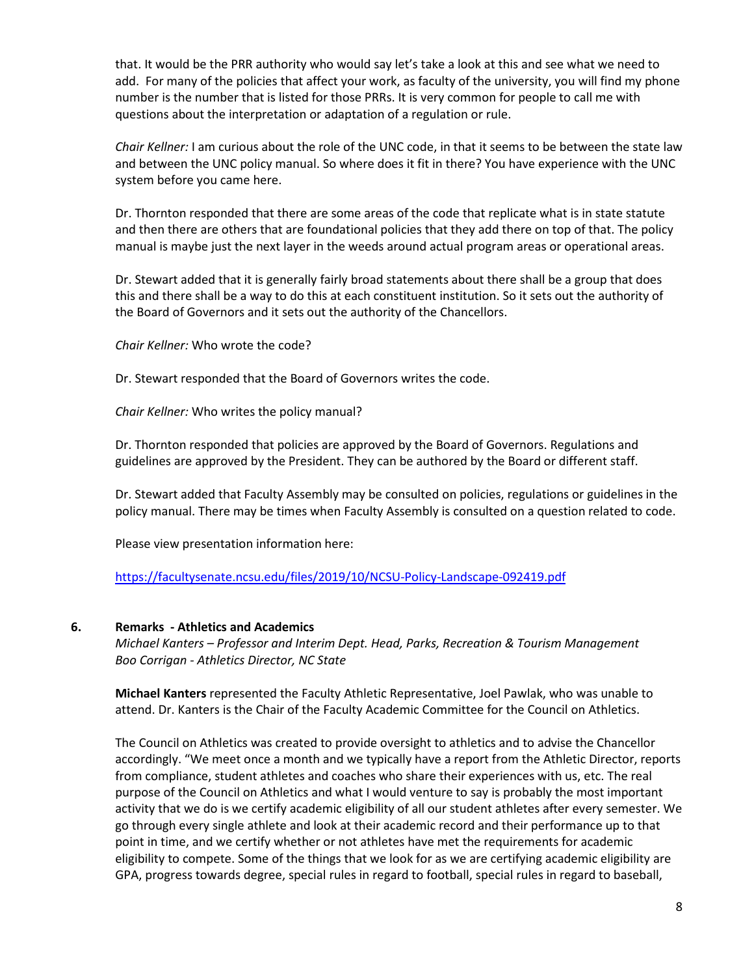that. It would be the PRR authority who would say let's take a look at this and see what we need to add. For many of the policies that affect your work, as faculty of the university, you will find my phone number is the number that is listed for those PRRs. It is very common for people to call me with questions about the interpretation or adaptation of a regulation or rule.

*Chair Kellner:* I am curious about the role of the UNC code, in that it seems to be between the state law and between the UNC policy manual. So where does it fit in there? You have experience with the UNC system before you came here.

Dr. Thornton responded that there are some areas of the code that replicate what is in state statute and then there are others that are foundational policies that they add there on top of that. The policy manual is maybe just the next layer in the weeds around actual program areas or operational areas.

Dr. Stewart added that it is generally fairly broad statements about there shall be a group that does this and there shall be a way to do this at each constituent institution. So it sets out the authority of the Board of Governors and it sets out the authority of the Chancellors.

*Chair Kellner:* Who wrote the code?

Dr. Stewart responded that the Board of Governors writes the code.

*Chair Kellner:* Who writes the policy manual?

Dr. Thornton responded that policies are approved by the Board of Governors. Regulations and guidelines are approved by the President. They can be authored by the Board or different staff.

Dr. Stewart added that Faculty Assembly may be consulted on policies, regulations or guidelines in the policy manual. There may be times when Faculty Assembly is consulted on a question related to code.

Please view presentation information here:

<https://facultysenate.ncsu.edu/files/2019/10/NCSU-Policy-Landscape-092419.pdf>

#### **6. Remarks - Athletics and Academics**

*Michael Kanters – Professor and Interim Dept. Head, Parks, Recreation & Tourism Management Boo Corrigan - Athletics Director, NC State*

**Michael Kanters** represented the Faculty Athletic Representative, Joel Pawlak, who was unable to attend. Dr. Kanters is the Chair of the Faculty Academic Committee for the Council on Athletics.

The Council on Athletics was created to provide oversight to athletics and to advise the Chancellor accordingly. "We meet once a month and we typically have a report from the Athletic Director, reports from compliance, student athletes and coaches who share their experiences with us, etc. The real purpose of the Council on Athletics and what I would venture to say is probably the most important activity that we do is we certify academic eligibility of all our student athletes after every semester. We go through every single athlete and look at their academic record and their performance up to that point in time, and we certify whether or not athletes have met the requirements for academic eligibility to compete. Some of the things that we look for as we are certifying academic eligibility are GPA, progress towards degree, special rules in regard to football, special rules in regard to baseball,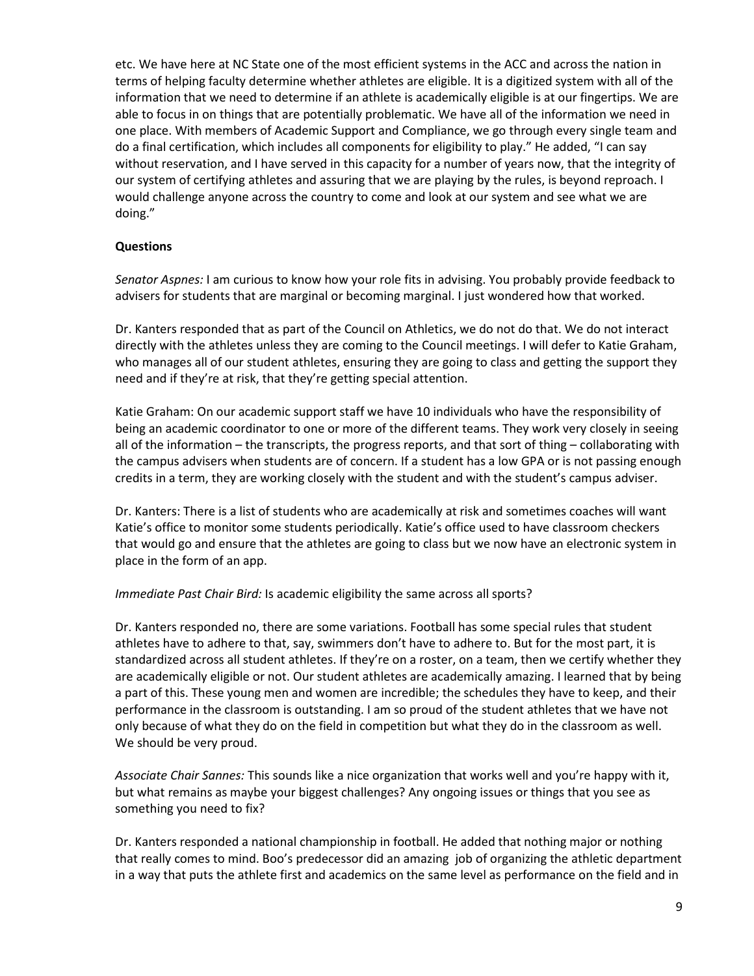etc. We have here at NC State one of the most efficient systems in the ACC and across the nation in terms of helping faculty determine whether athletes are eligible. It is a digitized system with all of the information that we need to determine if an athlete is academically eligible is at our fingertips. We are able to focus in on things that are potentially problematic. We have all of the information we need in one place. With members of Academic Support and Compliance, we go through every single team and do a final certification, which includes all components for eligibility to play." He added, "I can say without reservation, and I have served in this capacity for a number of years now, that the integrity of our system of certifying athletes and assuring that we are playing by the rules, is beyond reproach. I would challenge anyone across the country to come and look at our system and see what we are doing."

## **Questions**

*Senator Aspnes:* I am curious to know how your role fits in advising. You probably provide feedback to advisers for students that are marginal or becoming marginal. I just wondered how that worked.

Dr. Kanters responded that as part of the Council on Athletics, we do not do that. We do not interact directly with the athletes unless they are coming to the Council meetings. I will defer to Katie Graham, who manages all of our student athletes, ensuring they are going to class and getting the support they need and if they're at risk, that they're getting special attention.

Katie Graham: On our academic support staff we have 10 individuals who have the responsibility of being an academic coordinator to one or more of the different teams. They work very closely in seeing all of the information – the transcripts, the progress reports, and that sort of thing – collaborating with the campus advisers when students are of concern. If a student has a low GPA or is not passing enough credits in a term, they are working closely with the student and with the student's campus adviser.

Dr. Kanters: There is a list of students who are academically at risk and sometimes coaches will want Katie's office to monitor some students periodically. Katie's office used to have classroom checkers that would go and ensure that the athletes are going to class but we now have an electronic system in place in the form of an app.

### *Immediate Past Chair Bird:* Is academic eligibility the same across all sports?

Dr. Kanters responded no, there are some variations. Football has some special rules that student athletes have to adhere to that, say, swimmers don't have to adhere to. But for the most part, it is standardized across all student athletes. If they're on a roster, on a team, then we certify whether they are academically eligible or not. Our student athletes are academically amazing. I learned that by being a part of this. These young men and women are incredible; the schedules they have to keep, and their performance in the classroom is outstanding. I am so proud of the student athletes that we have not only because of what they do on the field in competition but what they do in the classroom as well. We should be very proud.

*Associate Chair Sannes:* This sounds like a nice organization that works well and you're happy with it, but what remains as maybe your biggest challenges? Any ongoing issues or things that you see as something you need to fix?

Dr. Kanters responded a national championship in football. He added that nothing major or nothing that really comes to mind. Boo's predecessor did an amazing job of organizing the athletic department in a way that puts the athlete first and academics on the same level as performance on the field and in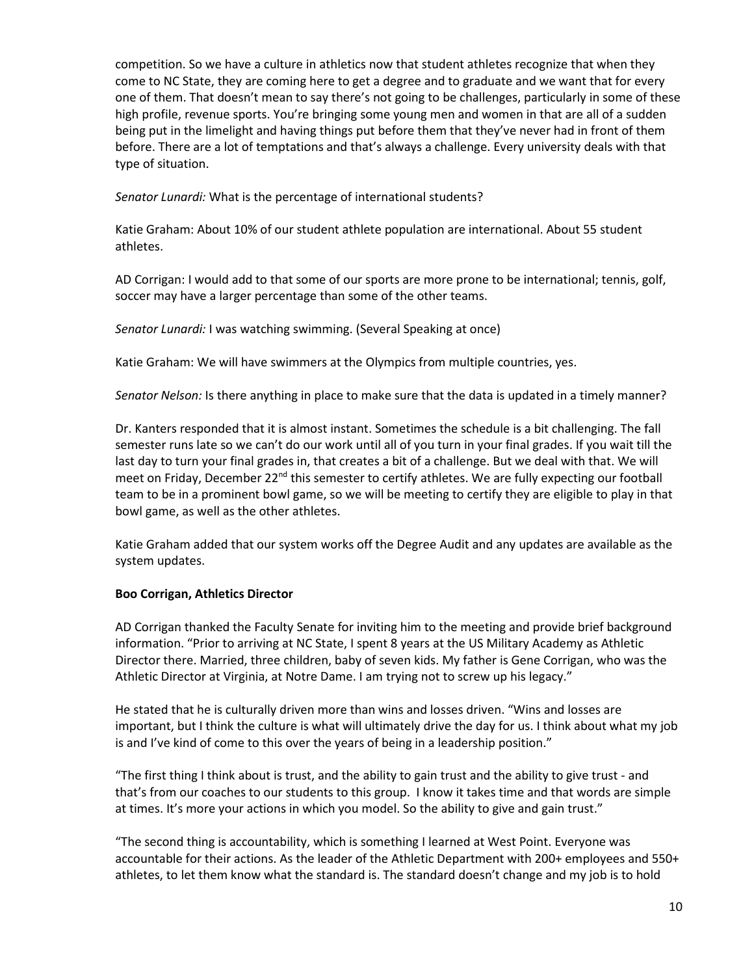competition. So we have a culture in athletics now that student athletes recognize that when they come to NC State, they are coming here to get a degree and to graduate and we want that for every one of them. That doesn't mean to say there's not going to be challenges, particularly in some of these high profile, revenue sports. You're bringing some young men and women in that are all of a sudden being put in the limelight and having things put before them that they've never had in front of them before. There are a lot of temptations and that's always a challenge. Every university deals with that type of situation.

*Senator Lunardi:* What is the percentage of international students?

Katie Graham: About 10% of our student athlete population are international. About 55 student athletes.

AD Corrigan: I would add to that some of our sports are more prone to be international; tennis, golf, soccer may have a larger percentage than some of the other teams.

*Senator Lunardi:* I was watching swimming. (Several Speaking at once)

Katie Graham: We will have swimmers at the Olympics from multiple countries, yes.

*Senator Nelson:* Is there anything in place to make sure that the data is updated in a timely manner?

Dr. Kanters responded that it is almost instant. Sometimes the schedule is a bit challenging. The fall semester runs late so we can't do our work until all of you turn in your final grades. If you wait till the last day to turn your final grades in, that creates a bit of a challenge. But we deal with that. We will meet on Friday, December  $22^{nd}$  this semester to certify athletes. We are fully expecting our football team to be in a prominent bowl game, so we will be meeting to certify they are eligible to play in that bowl game, as well as the other athletes.

Katie Graham added that our system works off the Degree Audit and any updates are available as the system updates.

### **Boo Corrigan, Athletics Director**

AD Corrigan thanked the Faculty Senate for inviting him to the meeting and provide brief background information. "Prior to arriving at NC State, I spent 8 years at the US Military Academy as Athletic Director there. Married, three children, baby of seven kids. My father is Gene Corrigan, who was the Athletic Director at Virginia, at Notre Dame. I am trying not to screw up his legacy."

He stated that he is culturally driven more than wins and losses driven. "Wins and losses are important, but I think the culture is what will ultimately drive the day for us. I think about what my job is and I've kind of come to this over the years of being in a leadership position."

"The first thing I think about is trust, and the ability to gain trust and the ability to give trust - and that's from our coaches to our students to this group. I know it takes time and that words are simple at times. It's more your actions in which you model. So the ability to give and gain trust."

"The second thing is accountability, which is something I learned at West Point. Everyone was accountable for their actions. As the leader of the Athletic Department with 200+ employees and 550+ athletes, to let them know what the standard is. The standard doesn't change and my job is to hold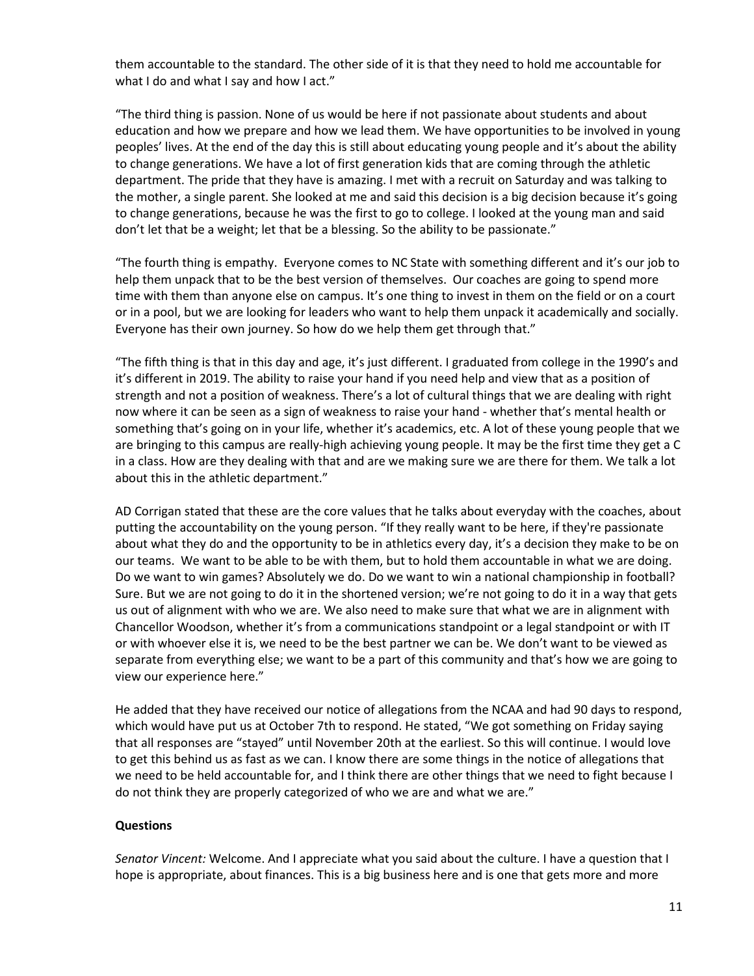them accountable to the standard. The other side of it is that they need to hold me accountable for what I do and what I say and how I act."

"The third thing is passion. None of us would be here if not passionate about students and about education and how we prepare and how we lead them. We have opportunities to be involved in young peoples' lives. At the end of the day this is still about educating young people and it's about the ability to change generations. We have a lot of first generation kids that are coming through the athletic department. The pride that they have is amazing. I met with a recruit on Saturday and was talking to the mother, a single parent. She looked at me and said this decision is a big decision because it's going to change generations, because he was the first to go to college. I looked at the young man and said don't let that be a weight; let that be a blessing. So the ability to be passionate."

"The fourth thing is empathy. Everyone comes to NC State with something different and it's our job to help them unpack that to be the best version of themselves. Our coaches are going to spend more time with them than anyone else on campus. It's one thing to invest in them on the field or on a court or in a pool, but we are looking for leaders who want to help them unpack it academically and socially. Everyone has their own journey. So how do we help them get through that."

"The fifth thing is that in this day and age, it's just different. I graduated from college in the 1990's and it's different in 2019. The ability to raise your hand if you need help and view that as a position of strength and not a position of weakness. There's a lot of cultural things that we are dealing with right now where it can be seen as a sign of weakness to raise your hand - whether that's mental health or something that's going on in your life, whether it's academics, etc. A lot of these young people that we are bringing to this campus are really-high achieving young people. It may be the first time they get a C in a class. How are they dealing with that and are we making sure we are there for them. We talk a lot about this in the athletic department."

AD Corrigan stated that these are the core values that he talks about everyday with the coaches, about putting the accountability on the young person. "If they really want to be here, if they're passionate about what they do and the opportunity to be in athletics every day, it's a decision they make to be on our teams. We want to be able to be with them, but to hold them accountable in what we are doing. Do we want to win games? Absolutely we do. Do we want to win a national championship in football? Sure. But we are not going to do it in the shortened version; we're not going to do it in a way that gets us out of alignment with who we are. We also need to make sure that what we are in alignment with Chancellor Woodson, whether it's from a communications standpoint or a legal standpoint or with IT or with whoever else it is, we need to be the best partner we can be. We don't want to be viewed as separate from everything else; we want to be a part of this community and that's how we are going to view our experience here."

He added that they have received our notice of allegations from the NCAA and had 90 days to respond, which would have put us at October 7th to respond. He stated, "We got something on Friday saying that all responses are "stayed" until November 20th at the earliest. So this will continue. I would love to get this behind us as fast as we can. I know there are some things in the notice of allegations that we need to be held accountable for, and I think there are other things that we need to fight because I do not think they are properly categorized of who we are and what we are."

### **Questions**

*Senator Vincent:* Welcome. And I appreciate what you said about the culture. I have a question that I hope is appropriate, about finances. This is a big business here and is one that gets more and more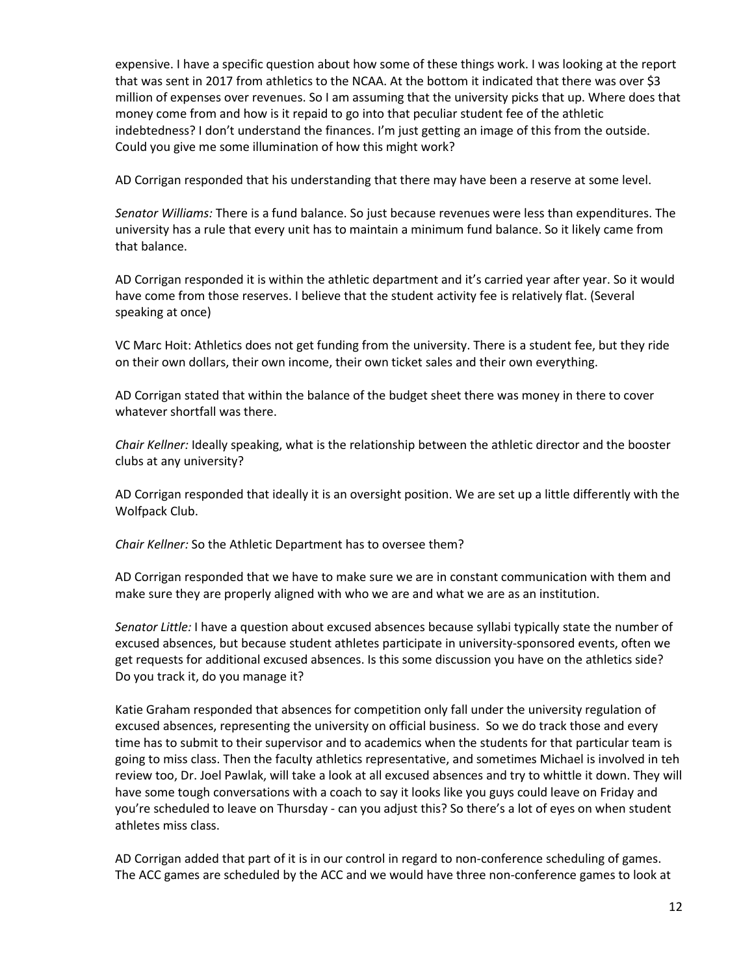expensive. I have a specific question about how some of these things work. I was looking at the report that was sent in 2017 from athletics to the NCAA. At the bottom it indicated that there was over \$3 million of expenses over revenues. So I am assuming that the university picks that up. Where does that money come from and how is it repaid to go into that peculiar student fee of the athletic indebtedness? I don't understand the finances. I'm just getting an image of this from the outside. Could you give me some illumination of how this might work?

AD Corrigan responded that his understanding that there may have been a reserve at some level.

*Senator Williams:* There is a fund balance. So just because revenues were less than expenditures. The university has a rule that every unit has to maintain a minimum fund balance. So it likely came from that balance.

AD Corrigan responded it is within the athletic department and it's carried year after year. So it would have come from those reserves. I believe that the student activity fee is relatively flat. (Several speaking at once)

VC Marc Hoit: Athletics does not get funding from the university. There is a student fee, but they ride on their own dollars, their own income, their own ticket sales and their own everything.

AD Corrigan stated that within the balance of the budget sheet there was money in there to cover whatever shortfall was there.

*Chair Kellner:* Ideally speaking, what is the relationship between the athletic director and the booster clubs at any university?

AD Corrigan responded that ideally it is an oversight position. We are set up a little differently with the Wolfpack Club.

*Chair Kellner:* So the Athletic Department has to oversee them?

AD Corrigan responded that we have to make sure we are in constant communication with them and make sure they are properly aligned with who we are and what we are as an institution.

*Senator Little:* I have a question about excused absences because syllabi typically state the number of excused absences, but because student athletes participate in university-sponsored events, often we get requests for additional excused absences. Is this some discussion you have on the athletics side? Do you track it, do you manage it?

Katie Graham responded that absences for competition only fall under the university regulation of excused absences, representing the university on official business. So we do track those and every time has to submit to their supervisor and to academics when the students for that particular team is going to miss class. Then the faculty athletics representative, and sometimes Michael is involved in teh review too, Dr. Joel Pawlak, will take a look at all excused absences and try to whittle it down. They will have some tough conversations with a coach to say it looks like you guys could leave on Friday and you're scheduled to leave on Thursday - can you adjust this? So there's a lot of eyes on when student athletes miss class.

AD Corrigan added that part of it is in our control in regard to non-conference scheduling of games. The ACC games are scheduled by the ACC and we would have three non-conference games to look at